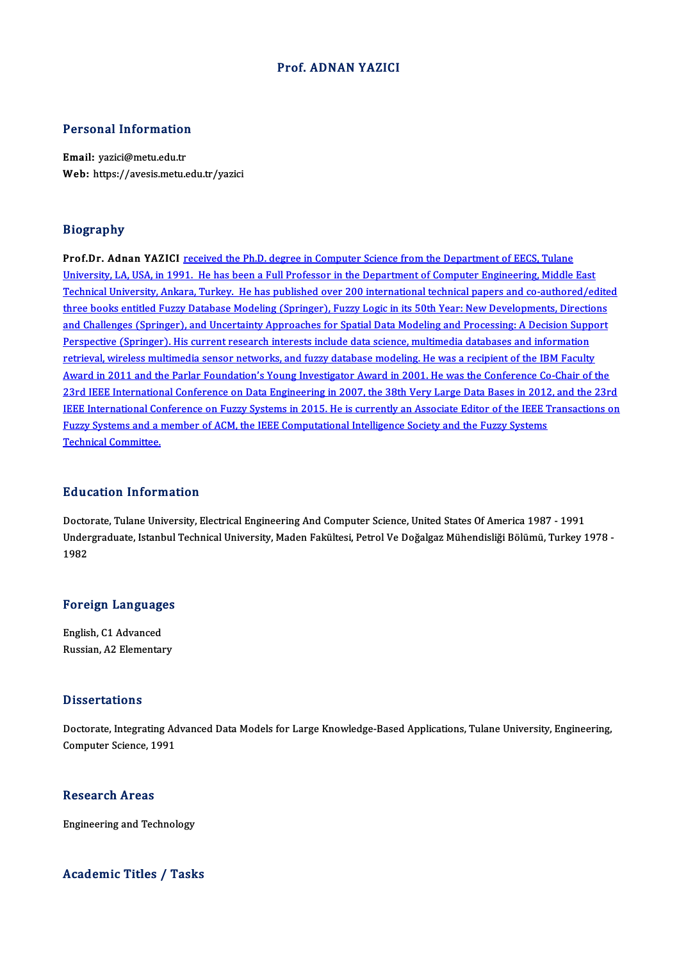#### Prof. ADNAN YAZICI

# Personal Information

Personal Information<br>Email: yazici@metu.edu.tr<br>Web: https://avesis.metu.e Email: yazici@metu.edu.tr<br>Web: https://avesis.metu.edu.tr/yazici

#### Biography

Prof.Dr. Adnan YAZICI received the Ph.D. degree in Computer Science from the Department of EECS, Tulane University, LA, USA, in 1991. He has been a Full Professor in the Department of Computer Engineering, Middle East Prof.Dr. Adnan YAZICI <u>received the Ph.D. degree in Computer Science from the Department of EECS, Tulane<br>University, LA, USA, in 1991. He has been a Full Professor in the Department of Computer Engineering, Middle East<br>Tec</u> University, LA, USA, in 1991. He has been a Full Professor in the Department of Computer Engineering, Middle East<br>Technical University, Ankara, Turkey. He has published over 200 international technical papers and co-author Technical University, Ankara, Turkey. He has published over 200 international technical papers and co-authored/edite<br>three books entitled Fuzzy Database Modeling (Springer), Fuzzy Logic in its 50th Year: New Developments, three books entitled Fuzzy Database Modeling (Springer), Fuzzy Logic in its 50th Year: New Developments, Directions<br>and Challenges (Springer), and Uncertainty Approaches for Spatial Data Modeling and Processing: A Decision retrieval, wireless multimedia sensor networks, and fuzzy database modeling. He was a recipient of the IBM Faculty Award in 2011 and the Parlar Foundation's Young Investigator Award in 2001. He was the Conference Co-Chair of the retrieval, wireless multimedia sensor networks, and fuzzy database modeling. He was a recipient of the IBM Faculty<br>Award in 2011 and the Parlar Foundation's Young Investigator Award in 2001. He was the Conference Co-Chair Award in 2011 and the Parlar Foundation's Young Investigator Award in 2001. He was the Conference Co-Chair of the<br>23rd IEEE International Conference on Data Engineering in 2007, the 38th Very Large Data Bases in 2012, and 23rd IEEE International Conference on Data Engineering in 2007, the 38th Very Large Data Bases in 2012<br>IEEE International Conference on Fuzzy Systems in 2015. He is currently an Associate Editor of the IEEE T<br>Fuzzy Systems IEEE International Conference on Fuzzy Systems in 2015. He is currently an Associate Editor of the IEEE Transactions on<br>Fuzzy Systems and a member of ACM, the IEEE Computational Intelligence Society and the Fuzzy Systems<br>T

#### Education Information

Doctorate, Tulane University, Electrical Engineering And Computer Science, United States Of America 1987 - 1991 Du u outrorm Trivor Interion<br>Doctorate, Tulane University, Electrical Engineering And Computer Science, United States Of America 1987 - 1991<br>Undergraduate, Istanbul Technical University, Maden Fakültesi, Petrol Ve Doğalgaz Docto<br>Under<br>1982

# <sub>1982</sub><br>Foreign Languages

**Foreign Language<br>English, C1 Advanced<br>Buggian A2 Elementar** English, C1 Advanced<br>Russian, A2 Elementary

#### **Dissertations**

Dissertations<br>Doctorate, Integrating Advanced Data Models for Large Knowledge-Based Applications, Tulane University, Engineering,<br>Computer Science, 1991 Dispose catebise<br>Doctorate, Integrating Ad<br>Computer Science, 1991 Computer Science, 1991<br>Research Areas

Engineering and Technology

#### Academic Titles / Tasks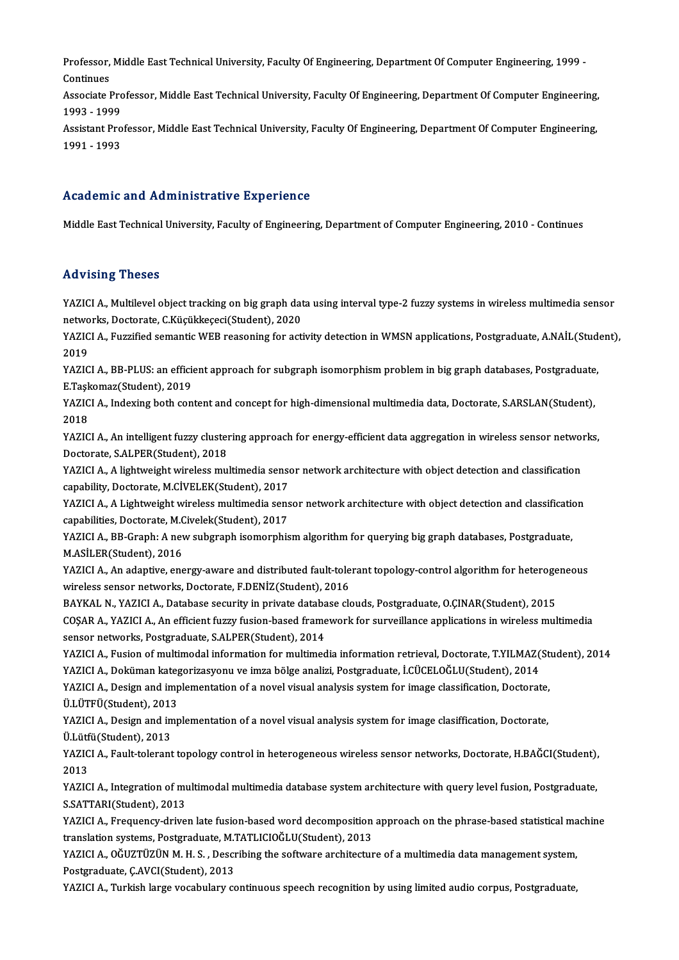Professor, Middle East Technical University, Faculty Of Engineering, Department Of Computer Engineering, 1999 -<br>Continues Professor,<br>Continues<br>Associate I Professor, Middle East Technical University, Faculty Of Engineering, Department Of Computer Engineering, 1999 -<br>Continues<br>Associate Professor, Middle East Technical University, Faculty Of Engineering, Department Of Compute

Continues<br>Associate Professor, Middle East Technical University, Faculty Of Engineering, Department Of Computer Engineering,<br>1993 - 1999 Associate Professor, Middle East Technical University, Faculty Of Engineering, Department Of Computer Engineering,<br>1993 - 1999<br>Assistant Professor, Middle East Technical University, Faculty Of Engineering, Department Of Co

1993 - 1999<br>Assistant Pro<br>1991 - 1993

## 1991 - 1993<br>Academic and Administrative Experience

Middle East Technical University, Faculty of Engineering, Department of Computer Engineering, 2010 - Continues

#### Advising Theses

Advising Theses<br>YAZICI A., Multilevel object tracking on big graph data using interval type-2 fuzzy systems in wireless multimedia sensor<br>Returning Pesterate *C Küsüldresesi* (Student), 2020 networks, Thesee<br>YAZICI A., Multilevel object tracking on big graph dat<br>networks, Doctorate, C.Küçükkeçeci(Student), 2020<br>YAZICI A., Eurrified semantie WEB reasoning for acti YAZICI A., Multilevel object tracking on big graph data using interval type-2 fuzzy systems in wireless multimedia sensor<br>networks, Doctorate, C.Küçükkeçeci(Student), 2020<br>YAZICI A., Fuzzified semantic WEB reasoning for ac

networks, Doctorate, C.Küçükkeçeci(Student), 2020<br>YAZICI A., Fuzzified semantic WEB reasoning for activity detection in WMSN applications, Postgraduate, A.NAİL(Student),<br>2019 YAZICI A., Fuzzified semantic WEB reasoning for activity detection in WMSN applications, Postgraduate, A.NAİL(Stud<br>2019<br>YAZICI A., BB-PLUS: an efficient approach for subgraph isomorphism problem in big graph databases, Pos

2019<br>YAZICI A., BB-PLUS: an effici<br>E.Taşkomaz(Student), 2019<br>YAZICLA, Judeving beth sen YAZICI A., BB-PLUS: an efficient approach for subgraph isomorphism problem in big graph databases, Postgraduate<br>E.Taşkomaz(Student), 2019<br>YAZICI A., Indexing both content and concept for high-dimensional multimedia data, D

E.Taşk<br>YAZIC<br>2018<br>YAZIC YAZICI A., Indexing both content and concept for high-dimensional multimedia data, Doctorate, S.ARSLAN(Student),<br>2018<br>YAZICI A., An intelligent fuzzy clustering approach for energy-efficient data aggregation in wireless se

2018<br>YAZICI A., An intelligent fuzzy cluster<br>Doctorate, S.ALPER(Student), 2018<br>YAZICLA - A lishtugisht uineless mu YAZICI A., An intelligent fuzzy clustering approach for energy-efficient data aggregation in wireless sensor networ<br>Doctorate, S.ALPER(Student), 2018<br>YAZICI A., A lightweight wireless multimedia sensor network architecture

Doctorate, S.ALPER(Student), 2018<br>YAZICI A., A lightweight wireless multimedia sensor network architecture with object detection and classification<br>capability, Doctorate, M.CİVELEK(Student), 2017 YAZICI A., A lightweight wireless multimedia sensor network architecture with object detection and classification<br>capability, Doctorate, M.CIVELEK(Student), 2017<br>YAZICI A., A Lightweight wireless multimedia sensor network

capability, Doctorate, M.CİVELEK(Student), 2017<br>YAZICI A., A Lightweight wireless multimedia sens<br>capabilities, Doctorate, M.Civelek(Student), 2017<br>YAZICI A., BB.Croph: A new subsraph isomorphis YAZICI A., A Lightweight wireless multimedia sensor network architecture with object detection and classification<br>capabilities, Doctorate, M.Civelek(Student), 2017<br>YAZICI A., BB-Graph: A new subgraph isomorphism algorithm

capabilities, Doctorate, M.Civelek(Student), 2017<br>YAZICI A., BB-Graph: A new subgraph isomorphism algorithm for querying big graph databases, Postgraduate,<br>M.ASİLER(Student), 2016 YAZICI A., BB-Graph: A new subgraph isomorphism algorithm for querying big graph databases, Postgraduate,<br>M.ASİLER(Student), 2016<br>YAZICI A., An adaptive, energy-aware and distributed fault-tolerant topology-control algorit

M.ASİLER(Student), 2016<br>YAZICI A., An adaptive, energy-aware and distributed fault-tole<br>wireless sensor networks, Doctorate, F.DENİZ(Student), 2016<br>BAYKAL N. YAZICLA, Detabase segurity in private database ak YAZICI A., An adaptive, energy-aware and distributed fault-tolerant topology-control algorithm for heteroge<br>wireless sensor networks, Doctorate, F.DENİZ(Student), 2016<br>BAYKAL N., YAZICI A., Database security in private dat

wireless sensor networks, Doctorate, F.DENİZ(Student), 2016<br>BAYKAL N., YAZICI A., Database security in private database clouds, Postgraduate, O.ÇINAR(Student), 2015<br>COŞAR A., YAZICI A., An efficient fuzzy fusion-based fram BAYKAL N., YAZICI A., Database security in private databa<br>COŞAR A., YAZICI A., An efficient fuzzy fusion-based frame<br>sensor networks, Postgraduate, S.ALPER(Student), 2014<br>YAZICI A. Eusion of multimodal information for mult COȘAR A., YAZICI A., An efficient fuzzy fusion-based framework for surveillance applications in wireless multimedia<br>sensor networks, Postgraduate, S.ALPER(Student), 2014<br>YAZICI A., Fusion of multimodal information for mult

sensor networks, Postgraduate, S.ALPER(Student), 2014<br>YAZICI A., Fusion of multimodal information for multimedia information retrieval, Doctorate, T.YILMAZ(<br>YAZICI A., Doküman kategorizasyonu ve imza bölge analizi, Postgra YAZICI A., Fusion of multimodal information for multimedia information retrieval, Doctorate, T.YILMAZ(St<br>YAZICI A., Doküman kategorizasyonu ve imza bölge analizi, Postgraduate, İ.CÜCELOĞLU(Student), 2014<br>YAZICI A., Design

YAZICI A., Doküman kategorizasyonu ve imza bölge analizi, Postgraduate, İ.CÜCELOĞLU(Student), 2014<br>YAZICI A., Design and implementation of a novel visual analysis system for image classification, Doctorate,<br>Ü.LÜTFÜ(Student ÜLÜTFÜ(Student), 2013

YAZICI A., Design and implementation of a novel visual analysis system for image classification, Doctorate, U.LÜTFÜ(Student), 2013<br>YAZICI A., Design and implementation of a novel visual analysis system for image clasiffica YAZICI A., Design and implementation of a novel visual analysis system for image clasiffication, Doctorate,<br>Ü.Lütfü(Student), 2013<br>YAZICI A., Fault-tolerant topology control in heterogeneous wireless sensor networks, Docto

Ü.Lüt<mark>f</mark><br>YAZIC<br>2013 YAZICI A., Fault-tolerant topology control in heterogeneous wireless sensor networks, Doctorate, H.BAĞCI(Student),<br>2013<br>YAZICI A., Integration of multimodal multimedia database system architecture with query level fusion,

2013<br>YAZICI A., Integration of multimodal multimedia database system architecture with query level fusion, Postgraduate,<br>S.SATTARI(Student), 2013 YAZICI A., Integration of multimodal multimedia database system architecture with query level fusion, Postgraduate,<br>S.SATTARI(Student), 2013<br>YAZICI A., Frequency-driven late fusion-based word decomposition approach on the

S.SATTARI(Student), 2013<br>YAZICI A., Frequency-driven late fusion-based word decomposition<br>translation systems, Postgraduate, M.TATLICIOĞLU(Student), 2013<br>YAZICLA, QĞUZTÜZÜN M.H.S., Dosaribing the seftuane anshitestur YAZICI A., Frequency-driven late fusion-based word decomposition approach on the phrase-based statistical ma<br>translation systems, Postgraduate, M.TATLICIOĞLU(Student), 2013<br>YAZICI A., OĞUZTÜZÜN M. H. S. , Describing the so

translation systems, Postgraduate, M.TATLICIOĞLU(Student), 2013<br>PAZICI A., OĞUZTÜZÜN M. H. S. , Describing the software architecture of a multimedia data management system,<br>Postgraduate, Ç.AVCI(Student), 2013<br>YAZICI A., Tu YAZICI A., OĞUZTÜZÜN M.H.S., Describing the software architecture of a multimedia data management system,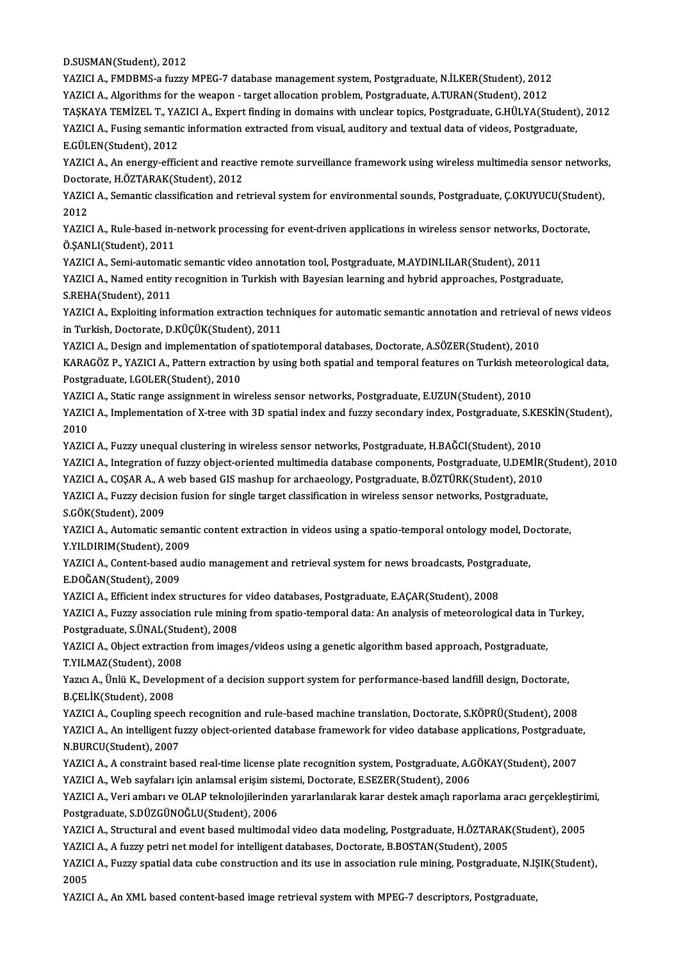D.SUSMAN(Student),2012

D.SUSMAN(Student), 2012<br>YAZICI A., FMDBMS-a fuzzy MPEG-7 database management system, Postgraduate, N.İLKER(Student), 2012<br>YAZICI A., Alsorithme for the visenen, "terset ellesation problem, Bestgraduate, A.TURAN(Student), 2 D.SUSMAN(Student), 2012<br>YAZICI A., FMDBMS-a fuzzy MPEG-7 database management system, Postgraduate, N.İLKER(Student), 2012<br>YAZICI A., Algorithms for the weapon - target allocation problem, Postgraduate, A.TURAN(Student), 20 YAZICI A., FMDBMS-a fuzzy MPEG-7 database management system, Postgraduate, N.İLKER(Student), 2012<br>YAZICI A., Algorithms for the weapon - target allocation problem, Postgraduate, A.TURAN(Student), 2012<br>TAŞKAYA TEMİZEL T., Y

YAZICI A., Algorithms for the weapon - target allocation problem, Postgraduate, A.TURAN(Student), 2012<br>TAŞKAYA TEMİZEL T., YAZICI A., Expert finding in domains with unclear topics, Postgraduate, G.HÜLYA(Student)<br>YAZICI A., TAŞKAYA TEMİZEL T., YA<br>YAZICI A., Fusing semanti<br>E.GÜLEN(Student), 2012<br>YAZICI A. An energy effic YAZICI A., Fusing semantic information extracted from visual, auditory and textual data of videos, Postgraduate,<br>E.GÜLEN(Student), 2012<br>YAZICI A., An energy-efficient and reactive remote surveillance framework using wirele

E.GÜLEN(Student), 2012<br>YAZICI A., An energy-efficient and reacti<br>Doctorate, H.ÖZTARAK(Student), 2012<br>YAZICLA, Semantis elessification and re YAZICI A., An energy-efficient and reactive remote surveillance framework using wireless multimedia sensor network<br>Doctorate, H.ÖZTARAK(Student), 2012<br>YAZICI A., Semantic classification and retrieval system for environment

Docto<br>YAZIC<br>2012<br>VAZIC YAZICI A., Semantic classification and retrieval system for environmental sounds, Postgraduate, Ç.OKUYUCU(Studer<br>2012<br>YAZICI A., Rule-based in-network processing for event-driven applications in wireless sensor networks, D

2012<br>YAZICI A., Rule-based in-<br>Ö.ŞANLI(Student), 2011<br>YAZICI A., Somi automati YAZICI A., Rule-based in-network processing for event-driven applications in wireless sensor networks, I<br>Ö.ŞANLI(Student), 2011<br>YAZICI A., Semi-automatic semantic video annotation tool, Postgraduate, M.AYDINLILAR(Student),

Ö.ŞANLI(Student), 2011<br>YAZICI A., Semi-automatic semantic video annotation tool, Postgraduate, M.AYDINLILAR(Student), 2011<br>YAZICI A., Named entity recognition in Turkish with Bayesian learning and hybrid approaches, Postgr YAZICI A., Semi-automat<br>YAZICI A., Named entity<br>S.REHA(Student), 2011<br>YAZICI A. Evploiting info YAZICI A., Named entity recognition in Turkish with Bayesian learning and hybrid approaches, Postgraduate,<br>S.REHA(Student), 2011<br>YAZICI A., Exploiting information extraction techniques for automatic semantic annotation and

S.REHA(Student), 2011<br>YAZICI A., Exploiting information extraction tech<br>in Turkish, Doctorate, D.KÜÇÜK(Student), 2011<br>YAZICI A., Docian and implementation of anatiot YAZICI A., Exploiting information extraction techniques for automatic semantic annotation and retrieval<br>in Turkish, Doctorate, D.KÜÇÜK(Student), 2011<br>YAZICI A., Design and implementation of spatiotemporal databases, Doctor

in Turkish, Doctorate, D.KÜÇÜK(Student), 2011<br>YAZICI A., Design and implementation of spatiotemporal databases, Doctorate, A.SÖZER(Student), 2010<br>KARAGÖZ P., YAZICI A., Pattern extraction by using both spatial and temporal YAZICI A., Design and implementation of spatiotemporal databases, Doctorate, A.SÖZER(Student), 2010<br>KARAGÖZ P., YAZICI A., Pattern extraction by using both spatial and temporal features on Turkish meteo<br>Postgraduate, I.GOL KARAGÖZ P., YAZICI A., Pattern extraction by using both spatial and temporal features on Turkish mete<br>Postgraduate, I.GOLER(Student), 2010<br>YAZICI A., Static range assignment in wireless sensor networks, Postgraduate, E.UZU

YAZICI A., Static range assignment in wireless sensor networks, Postgraduate, E.UZUN(Student), 2010

YAZICI A., Implementation of X-tree with 3D spatial index and fuzzy secondary index, Postgraduate, S.KESKİN(Student), 2010 2010<br>YAZICI A., Fuzzy unequal clustering in wireless sensor networks, Postgraduate, H.BAĞCI(Student), 2010<br>YAZICI A., Integration of fuzzy object-oriented multimedia database components, Postgraduate, U.DEMİR(Student), 201

YAZICIA.,Fuzzyunequal clustering inwireless sensor networks,Postgraduate,H.BAĞCI(Student),2010

YAZICI A., Fuzzy unequal clustering in wireless sensor networks, Postgraduate, H.BAĞCI(Student), 2010<br>YAZICI A., Integration of fuzzy object-oriented multimedia database components, Postgraduate, U.DEMİR(<br>YAZICI A., COŞAR

YAZICI A., Integration of fuzzy object-oriented multimedia database components, Postgraduate, U.DEMİR(1<br>YAZICI A., COŞAR A., A web based GIS mashup for archaeology, Postgraduate, B.ÖZTÜRK(Student), 2010<br>YAZICI A., Fuzzy de YAZICI A., COŞAR A., A web based GIS mashup for archaeology, Postgraduate, B.ÖZTÜRK(Student), 2010<br>YAZICI A., Fuzzy decision fusion for single target classification in wireless sensor networks, Postgraduate,<br>S.GÖK(Student) YAZICI A., Fuzzy decision fusion for single target classification in wireless sensor networks, Postgraduate,<br>S.GÖK(Student), 2009<br>YAZICI A., Automatic semantic content extraction in videos using a spatio-temporal ontology

S.GÖK(Student), 2009<br>YAZICI A., Automatic semant<br>Y.YILDIRIM(Student), 2009<br>YAZICI A. Content besed av YAZICI A., Automatic semantic content extraction in videos using a spatio-temporal ontology model, Dennis Y.<br>Y.YILDIRIM(Student), 2009<br>YAZICI A., Content-based audio management and retrieval system for news broadcasts, Pos

Y.YILDIRIM(Student), 2009<br>YAZICI A., Content-based audio management and retrieval system for news broadcasts, Postgraduate,<br>E.DOĞAN(Student), 2009 YAZICI A., Content-based audio management and retrieval system for news broadcasts, Postgra<br>E.DOĞAN(Student), 2009<br>YAZICI A., Efficient index structures for video databases, Postgraduate, E.AÇAR(Student), 2008<br>YAZICI A., E

E.DOĞAN(Student), 2009<br>YAZICI A., Efficient index structures for video databases, Postgraduate, E.AÇAR(Student), 2008<br>YAZICI A., Fuzzy association rule mining from spatio-temporal data: An analysis of meteorological data i YAZICI A., Efficient index structures for<br>YAZICI A., Fuzzy association rule minin<br>Postgraduate, S.ÜNAL(Student), 2008<br>YAZICI A. Object extraction from imag YAZICI A., Fuzzy association rule mining from spatio-temporal data: An analysis of meteorological data in<br>Postgraduate, S.ÜNAL(Student), 2008<br>YAZICI A., Object extraction from images/videos using a genetic algorithm based

Postgraduate, S.ÜNAL(Student), 2008<br>YAZICI A., Object extraction from images/videos using a genetic algorithm based approach, Postgraduate,<br>T.YILMAZ(Student), 2008 YAZICI A., Object extraction from images/videos using a genetic algorithm based approach, Postgraduate,<br>T.YILMAZ(Student), 2008<br>Yazıcı A., Ünlü K., Development of a decision support system for performance-based landfill de

T.YILMAZ(Student), 2008<br>Yazıcı A., Ünlü K., Develop<br>B.ÇELİK(Student), 2008<br>YAZICLA, Gaunling speed Yazıcı A., Ünlü K., Development of a decision support system for performance-based landfill design, Doctorate,<br>B.ÇELİK(Student), 2008<br>YAZICI A., Coupling speech recognition and rule-based machine translation, Doctorate, S.

B.ÇELİK(Student), 2008<br>YAZICI A., Coupling speech recognition and rule-based machine translation, Doctorate, S.KÖPRÜ(Student), 2008<br>YAZICI A., An intelligent fuzzy object-oriented database framework for video database appl YAZICI A., Coupling speech<br>YAZICI A., An intelligent fu<br>N.BURCU(Student), 2007<br>YAZICI A. A constraint bas YAZICI A., An intelligent fuzzy object-oriented database framework for video database applications, Postgraduate<br>N.BURCU(Student), 2007<br>YAZICI A., A constraint based real-time license plate recognition system, Postgraduate

N.BURCU(Student), 2007<br>YAZICI A., A constraint based real-time license plate recognition system, Postgraduate, A.(<br>YAZICI A., Web sayfaları için anlamsal erişim sistemi, Doctorate, E.SEZER(Student), 2006<br>YAZICI A., Veri am YAZICI A., A constraint based real-time license plate recognition system, Postgraduate, A.GÖKAY(Student), 2007<br>YAZICI A., Web sayfaları için anlamsal erişim sistemi, Doctorate, E.SEZER(Student), 2006<br>YAZICI A., Veri ambarı

YAZICI A., Web sayfaları için anlamsal erişim sis<br>YAZICI A., Veri ambarı ve OLAP teknolojilerinde<br>Postgraduate, S.DÜZGÜNOĞLU(Student), 2006<br>YAZICI A. Strugtural and avant based multimed YAZICI A., Veri ambarı ve OLAP teknolojilerinden yararlanılarak karar destek amaçlı raporlama aracı gerçekleştirin<br>Postgraduate, S.DÜZGÜNOĞLU(Student), 2006<br>YAZICI A., Structural and event based multimodal video data model

Postgraduate, S.DÜZGÜNOĞLU(Student), 2006<br>YAZICI A., Structural and event based multimodal video data modeling, Postgraduate, H.ÖZTARAK<br>YAZICI A., A fuzzy petri net model for intelligent databases, Doctorate, B.BOSTAN(Stud YAZICI A., Structural and event based multimodal video data modeling, Postgraduate, H.ÖZTARAK(Student), 2005<br>YAZICI A., A fuzzy petri net model for intelligent databases, Doctorate, B.BOSTAN(Student), 2005<br>YAZICI A., Fuzzy

YAZICI A., A fuzzy petri net model for intelligent databases, Doctorate, B.BOSTAN(Student), 2005<br>YAZICI A., Fuzzy spatial data cube construction and its use in association rule mining, Postgraduate, N.IŞIK(Student),<br>2005

YAZICI A., An XML based content-based image retrieval system with MPEG-7 descriptors, Postgraduate,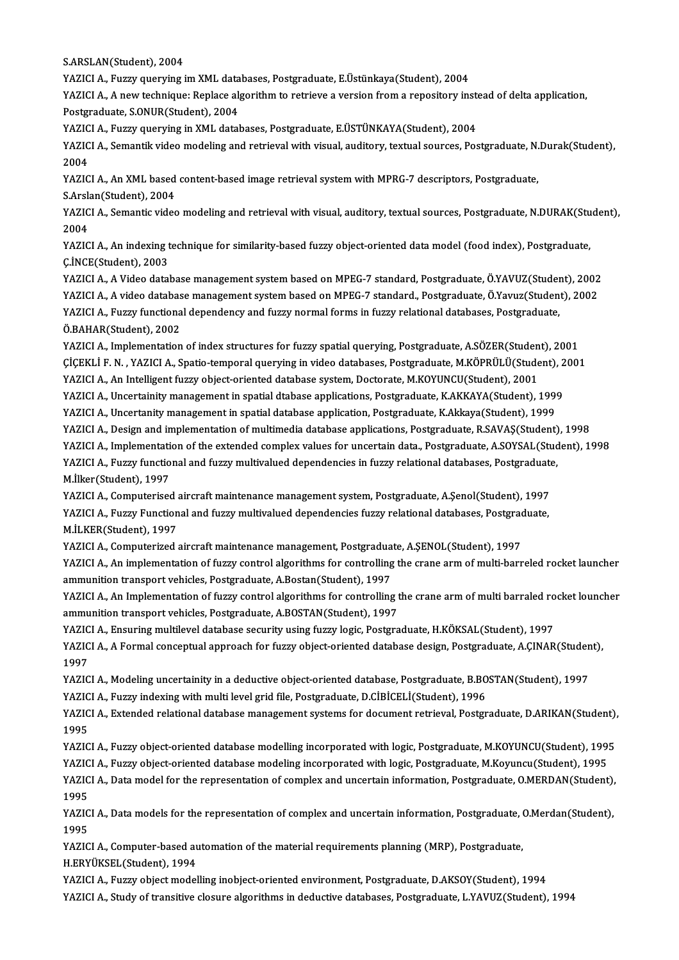S.ARSLAN(Student),2004

S.ARSLAN(Student), 2004<br>YAZICI A., Fuzzy querying im XML databases, Postgraduate, E.Üstünkaya(Student), 2004<br>YAZICI A. A new technique: Ronlase elserithm te netrieve e version from e renesitery in

YAZICI A., A new technique: Replace algorithm to retrieve a version from a repository instead of delta application,<br>Postgraduate, S.ONUR(Student), 2004 YAZICI A., Fuzzy querying im XML data<br>YAZICI A., A new technique: Replace alg<br>Postgraduate, S.ONUR(Student), 2004<br>YAZICI A., Fuzzy querying in YML datal YAZICI A., A new technique: Replace algorithm to retrieve a version from a repository inste<br>Postgraduate, S.ONUR(Student), 2004<br>YAZICI A., Fuzzy querying in XML databases, Postgraduate, E.ÜSTÜNKAYA(Student), 2004<br>YAZICI A.

Postgraduate, S.ONUR(Student), 2004<br>YAZICI A., Fuzzy querying in XML databases, Postgraduate, E.ÜSTÜNKAYA(Student), 2004<br>YAZICI A., Semantik video modeling and retrieval with visual, auditory, textual sources, Postgraduate **YAZIC<br>YAZIC<br>2004<br>YAZIC** YAZICI A., Semantik video modeling and retrieval with visual, auditory, textual sources, Postgraduate, N.<br>2004<br>YAZICI A., An XML based content-based image retrieval system with MPRG-7 descriptors, Postgraduate,<br>S.Arslan(St

2004<br>YAZICI A., An XML based content-based image retrieval system with MPRG-7 descriptors, Postgraduate,

YAZICI A., An XML based content-based image retrieval system with MPRG-7 descriptors, Postgraduate,<br>S.Arslan(Student), 2004<br>YAZICI A., Semantic video modeling and retrieval with visual, auditory, textual sources, Postgradu S.Arslan(Student), 2004<br>YAZICI A., Semantic vide<br>2004 YAZICI A., Semantic video modeling and retrieval with visual, auditory, textual sources, Postgraduate, N.DURAK(Stu<br>2004<br>YAZICI A., An indexing technique for similarity-based fuzzy object-oriented data model (food index), P

YAZICI A., An indexing technique for similarity-based fuzzy object-oriented data model (food index), Postgraduate,<br>C.İNCE(Student), 2003 YAZICI A., An indexing technique for similarity-based fuzzy object-oriented data model (food index), Postgraduate,<br>Ç.İNCE(Student), 2003<br>YAZICI A., A Video database management system based on MPEG-7 standard, Postgraduate,

Ç.İNCE(Student), 2003<br>YAZICI A., A Video database management system based on MPEG-7 standard, Postgraduate, Ö.YAVUZ(Student), 2002<br>YAZICI A., A video database management system based on MPEG-7 standard., Postgraduate, Ö.Ya YAZICI A., A Video database management system based on MPEG-7 standard, Postgraduate, Ö.YAVUZ(Studer<br>YAZICI A., A video database management system based on MPEG-7 standard., Postgraduate, Ö.Yavuz(Studen<br>YAZICI A., Fuzzy fu YAZICI A., A video database management system based on MPEG-7 standard., Postgraduate, Ö.Yavuz(Student), 2002<br>YAZICI A., Fuzzy functional dependency and fuzzy normal forms in fuzzy relational databases, Postgraduate,<br>Ö.BAH YAZICI A., Fuzzy functional dependency and fuzzy normal forms in fuzzy relational databases, Postgraduate,<br>Ö.BAHAR(Student), 2002<br>YAZICI A., Implementation of index structures for fuzzy spatial querying, Postgraduate, A.SÖ

Ö.BAHAR(Student), 2002<br>YAZICI A., Implementation of index structures for fuzzy spatial querying, Postgraduate, A.SÖZER(Student), 2001<br>ÇİÇEKLİ F. N. , YAZICI A., Spatio-temporal querying in video databases, Postgraduate, M. YAZICI A., Implementation of index structures for fuzzy spatial querying, Postgraduate, A.SÖZER(Studen<br>ÇİÇEKLİ F. N. , YAZICI A., Spatio-temporal querying in video databases, Postgraduate, M.KÖPRÜLÜ(Student), 2001<br>YAZICI A ÇİÇEKLİ F. N. , YAZICI A., Spatio-temporal querying in video databases, Postgraduate, M.KÖPRÜLÜ(Student), 2<br>YAZICI A., An Intelligent fuzzy object-oriented database system, Doctorate, M.KOYUNCU(Student), 2001<br>YAZICI A., Un

YAZICI A., An Intelligent fuzzy object-oriented database system, Doctorate, M.KOYUNCU(Student), 2001<br>YAZICI A., Uncertainity management in spatial dtabase applications, Postgraduate, K.AKKAYA(Student), 1999<br>YAZICI A., Unce YAZICI A., Uncertainity management in spatial dtabase applications, Postgraduate, K.AKKAYA(Student), 1999<br>YAZICI A., Uncertanity management in spatial database application, Postgraduate, K.Akkaya(Student), 1999<br>YAZICI A.,

YAZICI A., Uncertanity management in spatial database application, Postgraduate, K.Akkaya(Student), 1999<br>YAZICI A., Design and implementation of multimedia database applications, Postgraduate, R.SAVAŞ(Student), 1998<br>YAZICI YAZICI A., Design and implementation of multimedia database applications, Postgraduate, R.SAVAŞ(Student)<br>YAZICI A., Implementation of the extended complex values for uncertain data., Postgraduate, A.SOYSAL(Stud<br>YAZICI A., YAZICI A., Implementation of the extended complex values for uncertain data., Postgraduate, A.SOYSAL(Student), 1998<br>YAZICI A., Fuzzy functional and fuzzy multivalued dependencies in fuzzy relational databases, Postgraduate YAZICI A., Fuzzy functional and fuzzy multivalued dependencies in fuzzy relational databases, Postgraduate,

M.İlker(Student), 1997<br>YAZICI A., Computerised aircraft maintenance management system, Postgraduate, A.Şenol(Student), 1997<br>YAZICI A., Fuzzy Functional and fuzzy multivalued dependencies fuzzy relational databases, Postgra YAZICI A., Computerised<br>YAZICI A., Fuzzy Function<br>M.İLKER(Student), 1997<br>YAZICI A. Computerized YAZICI A., Fuzzy Functional and fuzzy multivalued dependencies fuzzy relational databases, Postgrac<br>M.İLKER(Student), 1997<br>YAZICI A., Computerized aircraft maintenance management, Postgraduate, A.ŞENOL(Student), 1997<br>YAZIC

YAZICI A., Computerized aircraft maintenance management, Postgraduate, A.ŞENOL(Student), 1997

M.İLKER(Student), 1997<br>YAZICI A., Computerized aircraft maintenance management, Postgraduate, A.ŞENOL(Student), 1997<br>YAZICI A., An implementation of fuzzy control algorithms for controlling the crane arm of multi-barreled YAZICI A., An implementation of fuzzy control algorithms for controlling the crane arm of multi-barreled rocket launcher<br>ammunition transport vehicles, Postgraduate, A.Bostan(Student), 1997<br>YAZICI A., An Implementation of

ammunition transport vehicles, Postgraduate, A.Bostan(Student), 1997<br>YAZICI A., An Implementation of fuzzy control algorithms for controlling t<br>ammunition transport vehicles, Postgraduate, A.BOSTAN(Student), 1997<br>YAZICI A. YAZICI A., An Implementation of fuzzy control algorithms for controlling the crane arm of multi barraled ro<br>ammunition transport vehicles, Postgraduate, A.BOSTAN(Student), 1997<br>YAZICI A., Ensuring multilevel database secur

YAZICI A., Ensuring multilevel database security using fuzzy logic, Postgraduate, H.KÖKSAL(Student), 1997

ammunition transport vehicles, Postgraduate, A.BOSTAN(Student), 1997<br>YAZICI A., Ensuring multilevel database security using fuzzy logic, Postgraduate, H.KÖKSAL(Student), 1997<br>YAZICI A., A Formal conceptual approach for fuz YAZICI A., A Formal conceptual approach for fuzzy object-oriented database design, Postgraduate, A.ÇINAR(Studen<br>1997<br>YAZICI A., Modeling uncertainity in a deductive object-oriented database, Postgraduate, B.BOSTAN(Student)

1997<br>YAZICI A., Modeling uncertainity in a deductive object-oriented database, Postgraduate, B.BO<br>YAZICI A., Fuzzy indexing with multi level grid file, Postgraduate, D.CİBİCELİ(Student), 1996<br>YAZICI A., Evtended relational

YAZICI A., Modeling uncertainity in a deductive object-oriented database, Postgraduate, B.BOSTAN(Student), 1997<br>YAZICI A., Fuzzy indexing with multi level grid file, Postgraduate, D.CİBİCELİ(Student), 1996<br>YAZICI A., Exten YAZICI A., Fuzzy indexing with multi level grid file, Postgraduate, D.CİBİCELİ(Student), 1996<br>YAZICI A., Extended relational database management systems for document retrieval, Postgraduate, D.ARIKAN(Student),<br>1995 YAZICI A., Extended relational database management systems for document retrieval, Postgraduate, D.ARIKAN(Student),<br>1995<br>YAZICI A., Fuzzy object-oriented database modelling incorporated with logic, Postgraduate, M.KOYUNCU(

1995<br>YAZICI A., Fuzzy object-oriented database modelling incorporated with logic, Postgraduate, M.KOYUNCU(Student), 1995<br>YAZICI A., Fuzzy object-oriented database modeling incorporated with logic, Postgraduate, M.Koyuncu(S

YAZICI A., Fuzzy object-oriented database modelling incorporated with logic, Postgraduate, M.KOYUNCU(Student), 1995<br>YAZICI A., Fuzzy object-oriented database modeling incorporated with logic, Postgraduate, M.Koyuncu(Studen YAZICI A., Fuzzy object-oriented database modeling incorporated with logic, Postgraduate, M.Koyuncu(Student), 1995<br>YAZICI A., Data model for the representation of complex and uncertain information, Postgraduate, O.MERDAN(S

YAZICI A., Data model for the representation of complex and uncertain information, Postgraduate, O.MERDAN(Student),<br>1995<br>YAZICI A., Data models for the representation of complex and uncertain information, Postgraduate, O.M YAZICI A., Data models for the representation of complex and uncertain information, Postgraduate, O.Merdan(Student), YAZICI A., Data models for the representation of complex and uncertain information, Postgraduate, (<br>1995<br>YAZICI A., Computer-based automation of the material requirements planning (MRP), Postgraduate,<br>H.FDVÜVSEL (Student),

1995<br>YAZICI A., Computer-based au<br>H.ERYÜKSEL(Student), 1994<br>YAZICLA, Eugwy object model

H.ERYÜKSEL(Student), 1994<br>YAZICI A., Fuzzy object modelling inobject-oriented environment, Postgraduate, D.AKSOY(Student), 1994

YAZICI A., Study of transitive closure algorithms in deductive databases, Postgraduate, L.YAVUZ(Student), 1994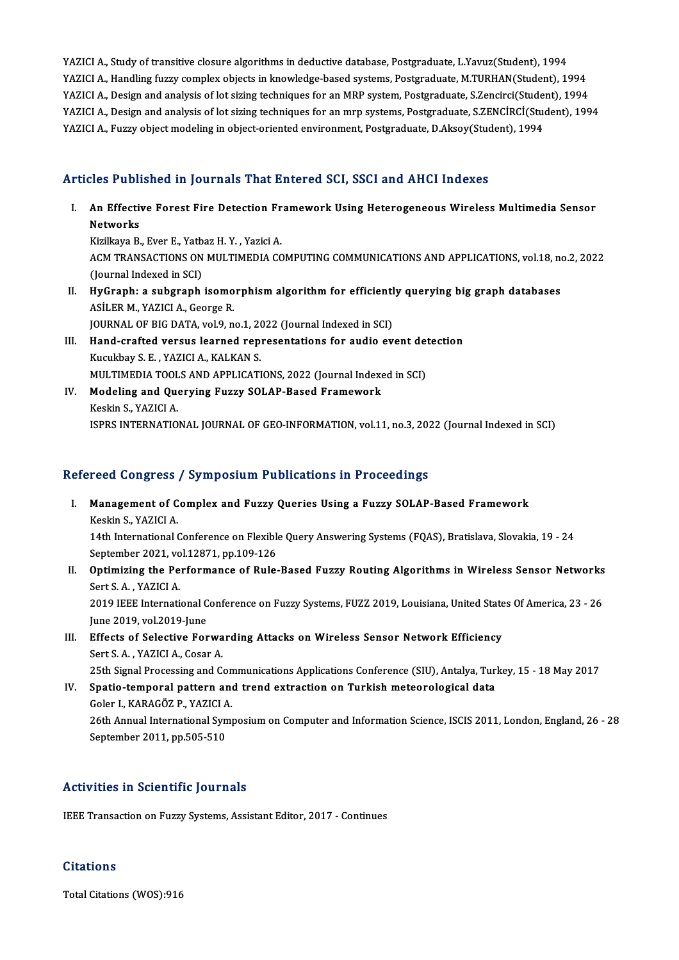YAZICI A., Study of transitive closure algorithms in deductive database, Postgraduate, L.Yavuz(Student), 1994 YAZICI A., Study of transitive closure algorithms in deductive database, Postgraduate, L.Yavuz(Student), 1994<br>YAZICI A., Handling fuzzy complex objects in knowledge-based systems, Postgraduate, M.TURHAN(Student), 1994<br>YAZI YAZICI A., Study of transitive closure algorithms in deductive database, Postgraduate, L.Yavuz(Student), 1994<br>YAZICI A., Handling fuzzy complex objects in knowledge-based systems, Postgraduate, M.TURHAN(Student), 1994<br>YAZI YAZICI A., Handling fuzzy complex objects in knowledge-based systems, Postgraduate, M.TURHAN(Student), 1994<br>YAZICI A., Design and analysis of lot sizing techniques for an MRP system, Postgraduate, S.Zencirci(Student), 1994 YAZICI A., Design and analysis of lot sizing techniques for an MRP system, Postgraduate, S.Zencirci(Stude:<br>YAZICI A., Design and analysis of lot sizing techniques for an mrp systems, Postgraduate, S.ZENCİRCİ(Stu<br>YAZICI A.,

## YAZICI A., Fuzzy object modeling in object-oriented environment, Postgraduate, D.Aksoy(Student), 1994<br>Articles Published in Journals That Entered SCI, SSCI and AHCI Indexes

rticles Published in Journals That Entered SCI, SSCI and AHCI Indexes<br>I. An Effective Forest Fire Detection Framework Using Heterogeneous Wireless Multimedia Sensor<br>Natworks nes I ash<br>An Effecti<br>Networks<br><sup>Kirillovo P</sup> An Effective Forest Fire Detection Fr<br>Networks<br>Kizilkaya B., Ever E., Yatbaz H. Y. , Yazici A.<br>ACM TRANSACTIONS ON MILITIMEDIA CC

Networks<br>Kizilkaya B., Ever E., Yatbaz H. Y. , Yazici A.<br>ACM TRANSACTIONS ON MULTIMEDIA COMPUTING COMMUNICATIONS AND APPLICATIONS, vol.18, no.2, 2022<br>(Journal Indexed in SCI) Kizilkaya B., Ever E., Yatb<br>ACM TRANSACTIONS ON<br>(Journal Indexed in SCI)<br>HyCronbus subsranb ACM TRANSACTIONS ON MULTIMEDIA COMPUTING COMMUNICATIONS AND APPLICATIONS, vol.18, no<br>(Journal Indexed in SCI)<br>II. HyGraph: a subgraph isomorphism algorithm for efficiently querying big graph databases<br>ASU ER M. YAZICLA, Co

- (Journal Indexed in SCI)<br>HyGraph: a subgraph isomo<br>ASİLER M., YAZICI A., George R.<br>JOUPNAL OF BIC DATA, vol 9 n HyGraph: a subgraph isomorphism algorithm for efficientl<br>ASİLER M., YAZICI A., George R.<br>JOURNAL OF BIG DATA, vol.9, no.1, 2022 (Journal Indexed in SCI)<br>Hand arafted varaye learned representations for audie ev ASİLER M., YAZICI A., George R.<br>JOURNAL OF BIG DATA, vol.9, no.1, 2022 (Journal Indexed in SCI)<br>III. Hand-crafted versus learned representations for audio event detection<br>E. Warkboy S. E., VAZICLA, KALKAN S.
- JOURNAL OF BIG DATA, vol.9, no.1, 20<br>Hand-crafted versus learned rep<br>Kucukbay S. E. , YAZICI A., KALKAN S.<br>MUU TIMEDIA TOOLS AND APPLICATI Hand-crafted versus learned representations for audio event det<br>Kucukbay S. E. , YAZICI A., KALKAN S.<br>MULTIMEDIA TOOLS AND APPLICATIONS, 2022 (Journal Indexed in SCI)<br>Modeling and Querving Eugey SQLAB Based Eramework Kucukbay S. E. , YAZICI A., KALKAN S.<br>MULTIMEDIA TOOLS AND APPLICATIONS, 2022 (Journal Indexent<br>IV. Modeling and Querying Fuzzy SOLAP-Based Framework<br>Keekin S. YAZICI A
- MULTIMEDIA TOOL<br>Modeling and Que<br>Keskin S., YAZICI A.<br>ISPPS INTEPNATIO Keskin S., YAZICI A.<br>ISPRS INTERNATIONAL JOURNAL OF GEO-INFORMATION, vol.11, no.3, 2022 (Journal Indexed in SCI)

### Refereed Congress / Symposium Publications in Proceedings

- efereed Congress / Symposium Publications in Proceedings<br>I. Management of Complex and Fuzzy Queries Using a Fuzzy SOLAP-Based Framework<br>Koskin S. XAZICLA Management of C<br>Management of C<br>Keskin S., YAZICI A. Management of Complex and Fuzzy Queries Using a Fuzzy SOLAP-Based Framework<br>Keskin S., YAZICI A.<br>14th International Conference on Flexible Query Answering Systems (FQAS), Bratislava, Slovakia, 19 - 24<br>September 2021, vol.1 Keskin S., YAZICI A.<br>14th International Conference on Flexible<br>September 2021, vol.12871, pp.109-126 14th International Conference on Flexible Query Answering Systems (FQAS), Bratislava, Slovakia, 19 - 24<br>September 2021, vol.12871, pp.109-126<br>II. Optimizing the Performance of Rule-Based Fuzzy Routing Algorithms in Wireles
- September 2021, vo<br>**Optimizing the Pe**<br>Sert S.A., YAZICI A.<br>2010 IEEE Internati Optimizing the Performance of Rule-Based Fuzzy Routing Algorithms in Wireless Sensor Networks<br>Sert S. A. , YAZICI A.<br>2019 IEEE International Conference on Fuzzy Systems, FUZZ 2019, Louisiana, United States Of America, 23 -Sert S. A. , YAZICI A.<br>2019 IEEE International C<br>June 2019, vol.2019-June<br>Effects of Selective Fer 2019 IEEE International Conference on Fuzzy Systems, FUZZ 2019, Louisiana, United State<br>June 2019, vol.2019-June<br>III. Effects of Selective Forwarding Attacks on Wireless Sensor Network Efficiency<br>Sort S.A., VAZICLA, Cosar
- June 2019, vol.2019-June<br>III. Effects of Selective Forwarding Attacks on Wireless Sensor Network Efficiency<br>Sert S. A. , YAZICI A., Cosar A. 25th Signal Processing and Communications Applications Conference (SIU), Antalya, Turkey, 15 - 18 May 2017 Sert S. A. , YAZICI A., Cosar A.<br>25th Signal Processing and Communications Applications Conference (SIU), Antalya, Turkish Spatio-temporal pattern and trend extraction on Turkish meteorological data<br>6 Seler L KARAGÖZ B XAZ
- 25th Signal Processing and Con<br>Spatio-temporal pattern and<br>Goler I., KARAGÖZ P., YAZICI A.<br>26th Annual International Symi 26th Annual International Symposium on Computer and Information Science, ISCIS 2011, London, England, 26 - 28<br>September 2011, pp.505-510 Goler I., KARAGÖZ P., YAZICI A.

#### Activities in Scientific Journals

IEEE Transaction on Fuzzy Systems, Assistant Editor, 2017 - Continues

#### **Citations**

Total Citations (WOS):916